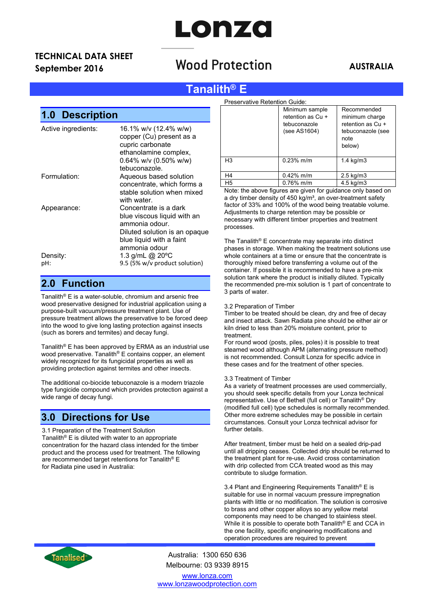# LONZO

## TECHNICAL DATA SHEET

## September 2016 **AUSTRALIA**<br>September 2016 **AUSTRALIA**

### Tanalith® E

## 1.0 Description

| Active ingredients: | 16.1% w/v (12.4% w/w)<br>copper (Cu) present as a<br>cupric carbonate<br>ethanolamine complex,<br>0.64% w/v (0.50% w/w)<br>tebuconazole.             |
|---------------------|------------------------------------------------------------------------------------------------------------------------------------------------------|
| Formulation:        | Aqueous based solution<br>concentrate, which forms a<br>stable solution when mixed<br>with water.                                                    |
| Appearance:         | Concentrate is a dark<br>blue viscous liquid with an<br>ammonia odour.<br>Diluted solution is an opaque<br>blue liquid with a faint<br>ammonia odour |
| Density:<br>pH:     | 1.3 g/mL @ 20°C<br>9.5 (5% w/v product solution)                                                                                                     |

#### 2.0 Function

Tanalith® E is a water-soluble, chromium and arsenic free wood preservative designed for industrial application using a purpose-built vacuum/pressure treatment plant. Use of pressure treatment allows the preservative to be forced deep into the wood to give long lasting protection against insects (such as borers and termites) and decay fungi.

Tanalith® E has been approved by ERMA as an industrial use wood preservative. Tanalith<sup>®</sup> E contains copper, an element widely recognized for its fungicidal properties as well as providing protection against termites and other insects.

The additional co-biocide tebuconazole is a modern triazole type fungicide compound which provides protection against a wide range of decay fungi.

#### 3.0 Directions for Use

3.1 Preparation of the Treatment Solution Tanalith<sup>®</sup> E is diluted with water to an appropriate concentration for the hazard class intended for the timber product and the process used for treatment. The following are recommended target retentions for Tanalith® E for Radiata pine used in Australia:

| Preservative Retention Guide: |                                                                     |                                                                                           |
|-------------------------------|---------------------------------------------------------------------|-------------------------------------------------------------------------------------------|
|                               | Minimum sample<br>retention as Cu +<br>tebuconazole<br>(see AS1604) | Recommended<br>minimum charge<br>retention as Cu +<br>tebuconazole (see<br>note<br>below) |
| H <sub>3</sub>                | $0.23%$ m/m                                                         | $1.4 \text{ kg/m}$ 3                                                                      |
| H4                            | $0.42\%$ m/m                                                        | $2.5$ kg/m $3$                                                                            |
| H <sub>5</sub>                | $0.76\%$ m/m                                                        | $4.5$ kg/m $3$                                                                            |

Note: the above figures are given for guidance only based on a dry timber density of  $450 \text{ kg/m}^3$ , an over-treatment safety factor of 33% and 100% of the wood being treatable volume. Adjustments to charge retention may be possible or necessary with different timber properties and treatment processes.

The Tanalith® E concentrate may separate into distinct phases in storage. When making the treatment solutions use whole containers at a time or ensure that the concentrate is thoroughly mixed before transferring a volume out of the container. If possible it is recommended to have a pre-mix solution tank where the product is initially diluted. Typically the recommended pre-mix solution is 1 part of concentrate to 3 parts of water.

#### 3.2 Preparation of Timber

Timber to be treated should be clean, dry and free of decay and insect attack. Sawn Radiata pine should be either air or kiln dried to less than 20% moisture content, prior to treatment.

For round wood (posts, piles, poles) it is possible to treat steamed wood although APM (alternating pressure method) is not recommended. Consult Lonza for specific advice in these cases and for the treatment of other species.

#### 3.3 Treatment of Timber

As a variety of treatment processes are used commercially, you should seek specific details from your Lonza technical representative. Use of Bethell (full cell) or Tanalith® Dry (modified full cell) type schedules is normally recommended. Other more extreme schedules may be possible in certain circumstances. Consult your Lonza technical advisor for further details.

After treatment, timber must be held on a sealed drip-pad until all dripping ceases. Collected drip should be returned to the treatment plant for re-use. Avoid cross contamination with drip collected from CCA treated wood as this may contribute to sludge formation.

3.4 Plant and Engineering Requirements Tanalith® E is suitable for use in normal vacuum pressure impregnation plants with little or no modification. The solution is corrosive to brass and other copper alloys so any yellow metal components may need to be changed to stainless steel. While it is possible to operate both Tanalith® E and CCA in the one facility, specific engineering modifications and operation procedures are required to prevent



Australia: 1300 650 636 Melbourne: 03 9339 8915

www.lonza.com www.lonzawoodprotection.com